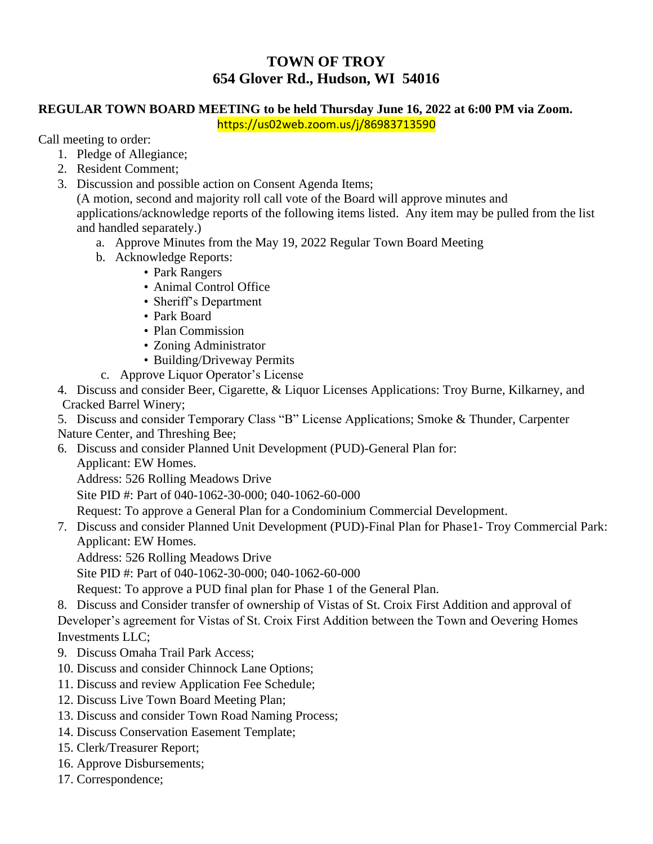## **TOWN OF TROY 654 Glover Rd., Hudson, WI 54016**

## **REGULAR TOWN BOARD MEETING to be held Thursday June 16, 2022 at 6:00 PM via Zoom.**

https://us02web.zoom.us/j/86983713590

Call meeting to order:

- 1. Pledge of Allegiance;
- 2. Resident Comment;
- 3. Discussion and possible action on Consent Agenda Items;

(A motion, second and majority roll call vote of the Board will approve minutes and applications/acknowledge reports of the following items listed. Any item may be pulled from the list and handled separately.)

- a. Approve Minutes from the May 19, 2022 Regular Town Board Meeting
- b. Acknowledge Reports:
	- Park Rangers
	- Animal Control Office
	- Sheriff's Department
	- Park Board
	- Plan Commission
	- Zoning Administrator
	- Building/Driveway Permits
- c. Approve Liquor Operator's License

4. Discuss and consider Beer, Cigarette, & Liquor Licenses Applications: Troy Burne, Kilkarney, and Cracked Barrel Winery;

5. Discuss and consider Temporary Class "B" License Applications; Smoke & Thunder, Carpenter Nature Center, and Threshing Bee;

- 6. Discuss and consider Planned Unit Development (PUD)-General Plan for:
	- Applicant: EW Homes.

Address: 526 Rolling Meadows Drive

Site PID #: Part of 040-1062-30-000; 040-1062-60-000

Request: To approve a General Plan for a Condominium Commercial Development.

7. Discuss and consider Planned Unit Development (PUD)-Final Plan for Phase1- Troy Commercial Park: Applicant: EW Homes.

Address: 526 Rolling Meadows Drive

Site PID #: Part of 040-1062-30-000; 040-1062-60-000

Request: To approve a PUD final plan for Phase 1 of the General Plan.

8. Discuss and Consider transfer of ownership of Vistas of St. Croix First Addition and approval of Developer's agreement for Vistas of St. Croix First Addition between the Town and Oevering Homes Investments LLC;

- 9. Discuss Omaha Trail Park Access;
- 10. Discuss and consider Chinnock Lane Options;
- 11. Discuss and review Application Fee Schedule;
- 12. Discuss Live Town Board Meeting Plan;
- 13. Discuss and consider Town Road Naming Process;
- 14. Discuss Conservation Easement Template;
- 15. Clerk/Treasurer Report;
- 16. Approve Disbursements;
- 17. Correspondence;